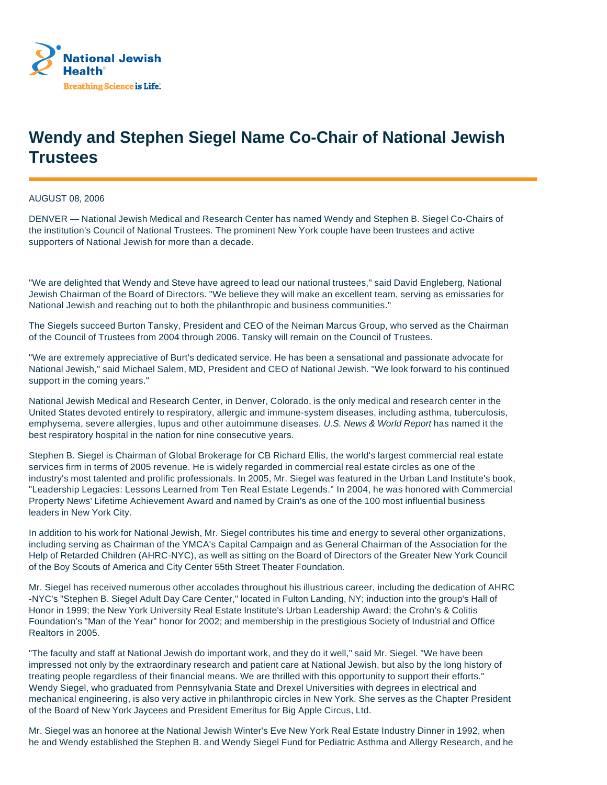

## **Wendy and Stephen Siegel Name Co-Chair of National Jewish Trustees**

AUGUST 08, 2006

DENVER — National Jewish Medical and Research Center has named Wendy and Stephen B. Siegel Co-Chairs of the institution's Council of National Trustees. The prominent New York couple have been trustees and active supporters of National Jewish for more than a decade.

"We are delighted that Wendy and Steve have agreed to lead our national trustees," said David Engleberg, National Jewish Chairman of the Board of Directors. "We believe they will make an excellent team, serving as emissaries for National Jewish and reaching out to both the philanthropic and business communities."

The Siegels succeed Burton Tansky, President and CEO of the Neiman Marcus Group, who served as the Chairman of the Council of Trustees from 2004 through 2006. Tansky will remain on the Council of Trustees.

"We are extremely appreciative of Burt's dedicated service. He has been a sensational and passionate advocate for National Jewish," said Michael Salem, MD, President and CEO of National Jewish. "We look forward to his continued support in the coming years."

National Jewish Medical and Research Center, in Denver, Colorado, is the only medical and research center in the United States devoted entirely to respiratory, allergic and immune-system diseases, including asthma, tuberculosis, emphysema, severe allergies, lupus and other autoimmune diseases. U.S. News & World Report has named it the best respiratory hospital in the nation for nine consecutive years.

Stephen B. Siegel is Chairman of Global Brokerage for CB Richard Ellis, the world's largest commercial real estate services firm in terms of 2005 revenue. He is widely regarded in commercial real estate circles as one of the industry's most talented and prolific professionals. In 2005, Mr. Siegel was featured in the Urban Land Institute's book, "Leadership Legacies: Lessons Learned from Ten Real Estate Legends." In 2004, he was honored with Commercial Property News' Lifetime Achievement Award and named by Crain's as one of the 100 most influential business leaders in New York City.

In addition to his work for National Jewish, Mr. Siegel contributes his time and energy to several other organizations, including serving as Chairman of the YMCA's Capital Campaign and as General Chairman of the Association for the Help of Retarded Children (AHRC-NYC), as well as sitting on the Board of Directors of the Greater New York Council of the Boy Scouts of America and City Center 55th Street Theater Foundation.

Mr. Siegel has received numerous other accolades throughout his illustrious career, including the dedication of AHRC -NYC's "Stephen B. Siegel Adult Day Care Center," located in Fulton Landing, NY; induction into the group's Hall of Honor in 1999; the New York University Real Estate Institute's Urban Leadership Award; the Crohn's & Colitis Foundation's "Man of the Year" honor for 2002; and membership in the prestigious Society of Industrial and Office Realtors in 2005.

"The faculty and staff at National Jewish do important work, and they do it well," said Mr. Siegel. "We have been impressed not only by the extraordinary research and patient care at National Jewish, but also by the long history of treating people regardless of their financial means. We are thrilled with this opportunity to support their efforts." Wendy Siegel, who graduated from Pennsylvania State and Drexel Universities with degrees in electrical and mechanical engineering, is also very active in philanthropic circles in New York. She serves as the Chapter President of the Board of New York Jaycees and President Emeritus for Big Apple Circus, Ltd.

Mr. Siegel was an honoree at the National Jewish Winter's Eve New York Real Estate Industry Dinner in 1992, when he and Wendy established the Stephen B. and Wendy Siegel Fund for Pediatric Asthma and Allergy Research, and he